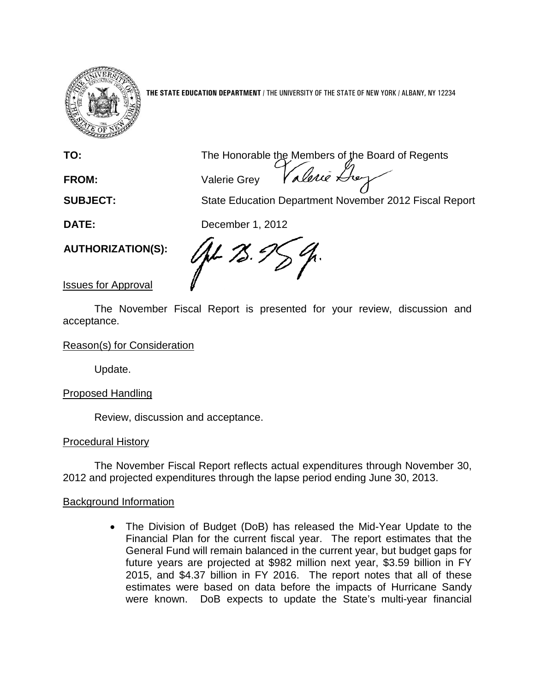

**THE STATE EDUCATION DEPARTMENT** / THE UNIVERSITY OF THE STATE OF NEW YORK / ALBANY, NY 12234

**TO:** The Honorable the Members of the Board of Regents

**FROM:** Valerie Grey

**SUBJECT:** State Education Department November 2012 Fiscal Report

**DATE:** December 1, 2012

**AUTHORIZATION(S):**

/ft- 75. G

Issues for Approval

The November Fiscal Report is presented for your review, discussion and acceptance.

Reason(s) for Consideration

Update.

Proposed Handling

Review, discussion and acceptance.

# Procedural History

The November Fiscal Report reflects actual expenditures through November 30, 2012 and projected expenditures through the lapse period ending June 30, 2013.

# Background Information

• The Division of Budget (DoB) has released the Mid-Year Update to the Financial Plan for the current fiscal year. The report estimates that the General Fund will remain balanced in the current year, but budget gaps for future years are projected at \$982 million next year, \$3.59 billion in FY 2015, and \$4.37 billion in FY 2016. The report notes that all of these estimates were based on data before the impacts of Hurricane Sandy were known. DoB expects to update the State's multi-year financial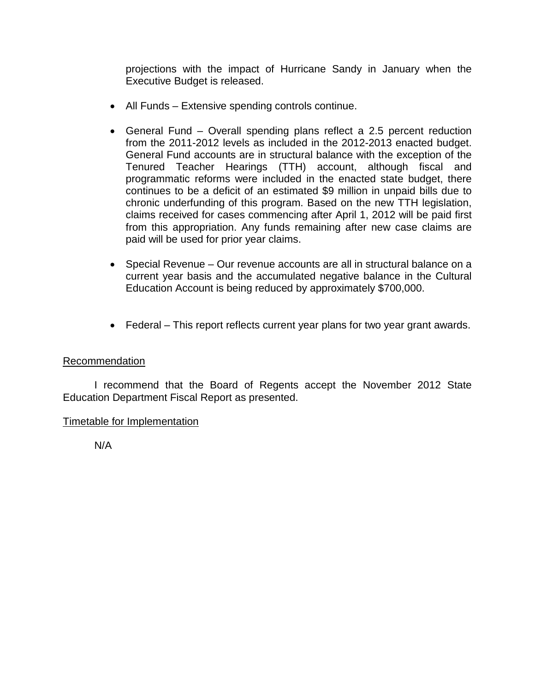projections with the impact of Hurricane Sandy in January when the Executive Budget is released.

- All Funds Extensive spending controls continue.
- General Fund Overall spending plans reflect a 2.5 percent reduction from the 2011-2012 levels as included in the 2012-2013 enacted budget. General Fund accounts are in structural balance with the exception of the Tenured Teacher Hearings (TTH) account, although fiscal and programmatic reforms were included in the enacted state budget, there continues to be a deficit of an estimated \$9 million in unpaid bills due to chronic underfunding of this program. Based on the new TTH legislation, claims received for cases commencing after April 1, 2012 will be paid first from this appropriation. Any funds remaining after new case claims are paid will be used for prior year claims.
- Special Revenue Our revenue accounts are all in structural balance on a current year basis and the accumulated negative balance in the Cultural Education Account is being reduced by approximately \$700,000.
- Federal This report reflects current year plans for two year grant awards.

## Recommendation

I recommend that the Board of Regents accept the November 2012 State Education Department Fiscal Report as presented.

## Timetable for Implementation

N/A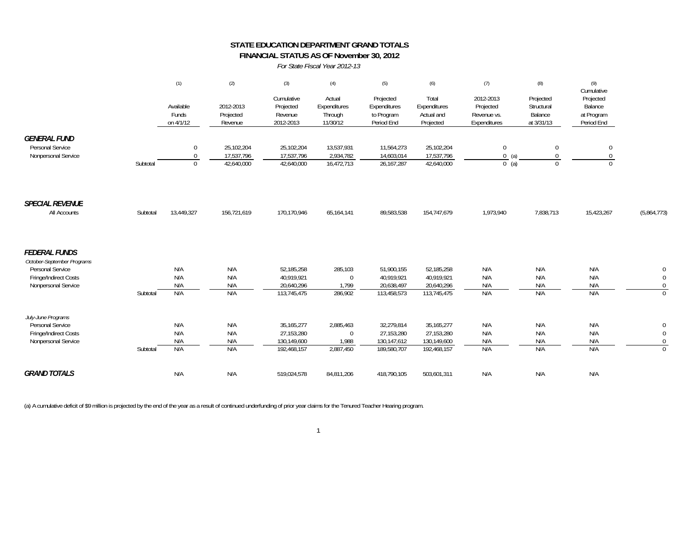### **STATE EDUCATION DEPARTMENT GRAND TOTALS FINANCIAL STATUS AS OF November 30, 2012**

*For State Fiscal Year 2012-13*

|                                                                                                                        |          | (1)                                    | (2)                                    | (3)                                                      | (4)                                             | (5)                                                    | (6)                                                      | (7)                                                   | (8)                                              | (9)<br>Cumulative                                |                                                        |
|------------------------------------------------------------------------------------------------------------------------|----------|----------------------------------------|----------------------------------------|----------------------------------------------------------|-------------------------------------------------|--------------------------------------------------------|----------------------------------------------------------|-------------------------------------------------------|--------------------------------------------------|--------------------------------------------------|--------------------------------------------------------|
|                                                                                                                        |          | Available<br>Funds<br>on 4/1/12        | 2012-2013<br>Projected<br>Revenue      | Cumulative<br>Projected<br>Revenue<br>2012-2013          | Actual<br>Expenditures<br>Through<br>11/30/12   | Projected<br>Expenditures<br>to Program<br>Period End  | Total<br>Expenditures<br>Actual and<br>Projected         | 2012-2013<br>Projected<br>Revenue vs.<br>Expenditures | Projected<br>Structural<br>Balance<br>at 3/31/13 | Projected<br>Balance<br>at Program<br>Period End |                                                        |
| <b>GENERAL FUND</b><br>Personal Service<br>Nonpersonal Service                                                         | Subtotal | $\overline{0}$<br>$\Omega$<br>$\Omega$ | 25,102,204<br>17,537,796<br>42,640,000 | 25,102,204<br>17,537,796<br>42,640,000                   | 13,537,931<br>2,934,782<br>16,472,713           | 11,564,273<br>14,603,014<br>26, 167, 287               | 25,102,204<br>17,537,796<br>42,640,000                   | $\mathbf{0}$<br>$0$ (a)<br>$0$ (a)                    | $\mathbf{0}$<br>$\mathbf{0}$<br>$\mathbf{0}$     | $\boldsymbol{0}$<br>0<br>$\Omega$                |                                                        |
| <b>SPECIAL REVENUE</b><br>All Accounts                                                                                 | Subtotal | 13,449,327                             | 156,721,619                            | 170,170,946                                              | 65,164,141                                      | 89,583,538                                             | 154,747,679                                              | 1,973,940                                             | 7,838,713                                        | 15,423,267                                       | (5,864,773)                                            |
| <b>FEDERAL FUNDS</b><br>October-September Programs<br>Personal Service<br>Fringe/Indirect Costs<br>Nonpersonal Service | Subtotal | N/A<br>N/A<br>N/A<br>N/A               | N/A<br>N/A<br>N/A<br>N/A               | 52,185,258<br>40,919,921<br>20,640,296<br>113,745,475    | 285,103<br>$\mathbf{0}$<br>1,799<br>286,902     | 51,900,155<br>40,919,921<br>20,638,497<br>113,458,573  | 52,185,258<br>40,919,921<br>20,640,296<br>113,745,475    | N/A<br>N/A<br>N/A<br>N/A                              | N/A<br>N/A<br>N/A<br>N/A                         | N/A<br>N/A<br>N/A<br>N/A                         | 0<br>$\mathbf 0$<br>$\Omega$<br>$\Omega$               |
| July-June Programs<br>Personal Service<br>Fringe/Indirect Costs<br>Nonpersonal Service                                 | Subtotal | N/A<br>N/A<br>N/A<br>N/A               | N/A<br>N/A<br>N/A<br>N/A               | 35, 165, 277<br>27,153,280<br>130,149,600<br>192,468,157 | 2,885,463<br>$\mathbf{0}$<br>1,988<br>2,887,450 | 32,279,814<br>27,153,280<br>130,147,612<br>189,580,707 | 35, 165, 277<br>27,153,280<br>130,149,600<br>192,468,157 | N/A<br>N/A<br>N/A<br>N/A                              | N/A<br>N/A<br>N/A<br>N/A                         | N/A<br>N/A<br>N/A<br>N/A                         | $\mathbf 0$<br>$\mathbf 0$<br>$\mathbf{0}$<br>$\Omega$ |
| <b>GRAND TOTALS</b>                                                                                                    |          | N/A                                    | N/A                                    | 519,024,578                                              | 84,811,206                                      | 418,790,105                                            | 503,601,311                                              | N/A                                                   | N/A                                              | N/A                                              |                                                        |

(a) A cumulative deficit of \$9 million is projected by the end of the year as a result of continued underfunding of prior year claims for the Tenured Teacher Hearing program.

1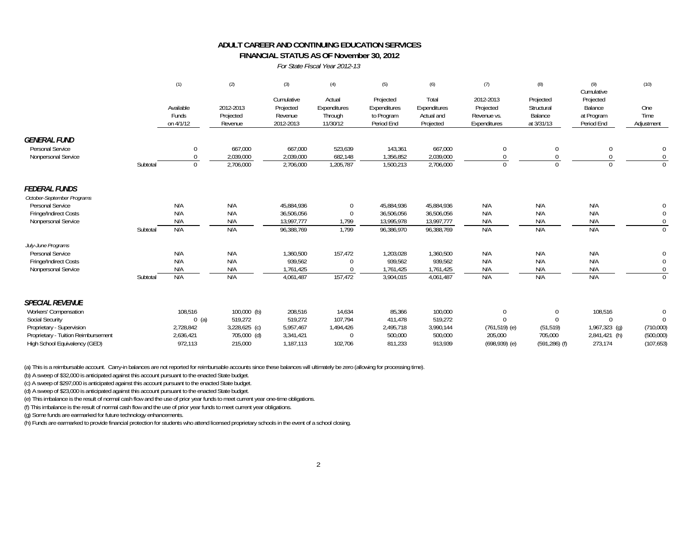#### **FINANCIAL STATUS AS OF November 30, 2012 ADULT CAREER AND CONTINUING EDUCATION SERVICES**

*For State Fiscal Year 2012-13*

|                                     |          | (1)<br>Available<br>Funds<br>on 4/1/12 | (2)                               | (3)<br>Cumulative<br>Projected<br>Revenue<br>2012-2013 | (4)<br>Actual<br>Expenditures<br>Through<br>11/30/12 | (5)<br>Projected<br>Expenditures<br>to Program<br>Period End | (6)<br>Total<br>Expenditures<br>Actual and<br>Projected | (7)<br>2012-2013<br>Projected<br>Revenue vs.<br>Expenditures | (8)<br>Projected<br>Structural<br>Balance<br>at 3/31/13 | (9)<br>Cumulative<br>Projected<br>Balance<br>at Program<br>Period End | (10)<br>One<br>Time<br>Adjustment |
|-------------------------------------|----------|----------------------------------------|-----------------------------------|--------------------------------------------------------|------------------------------------------------------|--------------------------------------------------------------|---------------------------------------------------------|--------------------------------------------------------------|---------------------------------------------------------|-----------------------------------------------------------------------|-----------------------------------|
|                                     |          |                                        | 2012-2013<br>Projected<br>Revenue |                                                        |                                                      |                                                              |                                                         |                                                              |                                                         |                                                                       |                                   |
| <b>GENERAL FUND</b>                 |          |                                        |                                   |                                                        |                                                      |                                                              |                                                         |                                                              |                                                         |                                                                       |                                   |
| Personal Service                    |          | 0                                      | 667,000                           | 667,000                                                | 523,639                                              | 143,361                                                      | 667,000                                                 | $\mathbf{0}$                                                 | $\mathbf{0}$                                            | 0                                                                     | $\mathbf 0$                       |
| Nonpersonal Service                 |          |                                        | 2,039,000                         | 2,039,000                                              | 682,148                                              | 1,356,852                                                    | 2,039,000                                               |                                                              |                                                         |                                                                       |                                   |
|                                     | Subtotal | $\Omega$                               | 2,706,000                         | 2,706,000                                              | 1,205,787                                            | 1,500,213                                                    | 2,706,000                                               | $\Omega$                                                     | $\Omega$                                                |                                                                       | $\Omega$                          |
| <b>FEDERAL FUNDS</b>                |          |                                        |                                   |                                                        |                                                      |                                                              |                                                         |                                                              |                                                         |                                                                       |                                   |
| October-September Programs          |          |                                        |                                   |                                                        |                                                      |                                                              |                                                         |                                                              |                                                         |                                                                       |                                   |
| Personal Service                    |          | N/A                                    | N/A                               | 45,884,936                                             | $\Omega$                                             | 45,884,936                                                   | 45,884,936                                              | N/A                                                          | N/A                                                     | N/A                                                                   |                                   |
| Fringe/Indirect Costs               |          | N/A                                    | N/A                               | 36,506,056                                             | $\Omega$                                             | 36,506,056                                                   | 36,506,056                                              | N/A                                                          | N/A                                                     | N/A                                                                   | $\Omega$                          |
| Nonpersonal Service                 |          | N/A                                    | N/A                               | 13,997,777                                             | 1,799                                                | 13,995,978                                                   | 13,997,777                                              | N/A                                                          | N/A                                                     | N/A                                                                   |                                   |
|                                     | Subtotal | N/A                                    | N/A                               | 96,388,769                                             | 1,799                                                | 96,386,970                                                   | 96,388,769                                              | N/A                                                          | N/A                                                     | N/A                                                                   | $\Omega$                          |
| July-June Programs                  |          |                                        |                                   |                                                        |                                                      |                                                              |                                                         |                                                              |                                                         |                                                                       |                                   |
| Personal Service                    |          | N/A                                    | N/A                               | 1,360,500                                              | 157,472                                              | 1,203,028                                                    | 1,360,500                                               | N/A                                                          | N/A                                                     | N/A                                                                   | $\mathbf 0$                       |
| Fringe/Indirect Costs               |          | N/A                                    | N/A                               | 939,562                                                |                                                      | 939,562                                                      | 939,562                                                 | N/A                                                          | N/A                                                     | N/A                                                                   | $\mathbf 0$                       |
| Nonpersonal Service                 |          | N/A                                    | N/A                               | 1,761,425                                              |                                                      | 1,761,425                                                    | 1,761,425                                               | N/A                                                          | N/A                                                     | N/A                                                                   |                                   |
|                                     | Subtotal | N/A                                    | N/A                               | 4,061,487                                              | 157,472                                              | 3,904,015                                                    | 4,061,487                                               | N/A                                                          | N/A                                                     | N/A                                                                   | $\Omega$                          |
| <b>SPECIAL REVENUE</b>              |          |                                        |                                   |                                                        |                                                      |                                                              |                                                         |                                                              |                                                         |                                                                       |                                   |
| Workers' Compensation               |          | 108,516                                | $100,000$ (b)                     | 208,516                                                | 14,634                                               | 85,366                                                       | 100,000                                                 | $\Omega$                                                     | $\Omega$                                                | 108,516                                                               | $\Omega$                          |
| <b>Social Security</b>              |          | $0$ (a)                                | 519,272                           | 519,272                                                | 107,794                                              | 411,478                                                      | 519,272                                                 |                                                              |                                                         | $\Omega$                                                              | $\Omega$                          |
| Proprietary - Supervision           |          | 2,728,842                              | 3,228,625 (c)                     | 5,957,467                                              | 1,494,426                                            | 2,495,718                                                    | 3,990,144                                               | $(761, 519)$ (e)                                             | (51, 519)                                               | 1,967,323 (g)                                                         | (710,000)                         |
| Proprietary - Tuition Reimbursement |          | 2,636,421                              | 705,000 (d)                       | 3,341,421                                              | $\mathbf{0}$                                         | 500,000                                                      | 500,000                                                 | 205,000                                                      | 705,000                                                 | 2,841,421 (h)                                                         | (500,000)                         |
| High School Equivalency (GED)       |          | 972.113                                | 215,000                           | 1,187,113                                              | 102,706                                              | 811,233                                                      | 913,939                                                 | $(698,939)$ (e)                                              | $(591, 286)$ (f)                                        | 273,174                                                               | (107, 653)                        |

(a) This is a reimbursable account. Carry-in balances are not reported for reimbursable accounts since these balances will ultimately be zero (allowing for processing time).

(b) A sweep of \$32,000 is anticipated against this account pursuant to the enacted State budget.

(c) A sweep of \$297,000 is anticipated against this account pursuant to the enacted State budget.

(d) A sweep of \$23,000 is anticipated against this account pursuant to the enacted State budget.

(e) This imbalance is the result of normal cash flow and the use of prior year funds to meet current year one-time obligations.

(f) This imbalance is the result of normal cash flow and the use of prior year funds to meet current year obligations.

(g) Some funds are earmarked for future technology enhancements.

(h) Funds are earmarked to provide financial protection for students who attend licensed proprietary schools in the event of a school closing.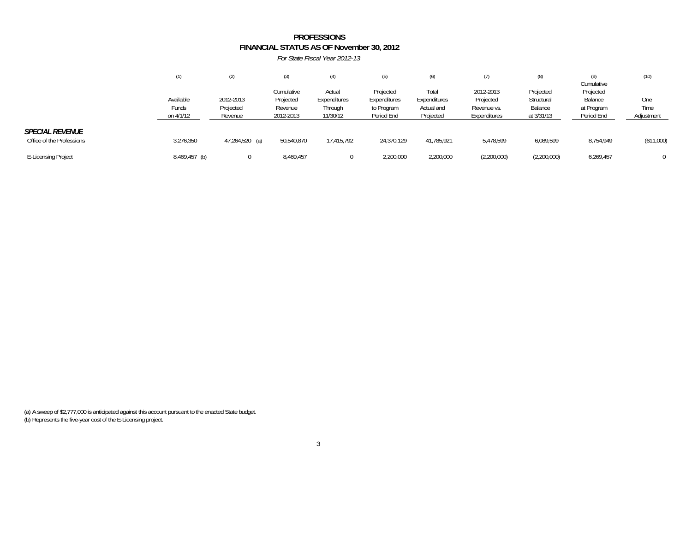### **FINANCIAL STATUS AS OF November 30, 2012** *For State Fiscal Year 2012-13***PROFESSIONS**

|                                                     | (1)                             | (2)                               | $\left( 3\right)$                               | (4)                                           | (5)                                                   | (6)                                              |                                                       | (8)                                              | Cumulative                                       | (10)                      |
|-----------------------------------------------------|---------------------------------|-----------------------------------|-------------------------------------------------|-----------------------------------------------|-------------------------------------------------------|--------------------------------------------------|-------------------------------------------------------|--------------------------------------------------|--------------------------------------------------|---------------------------|
|                                                     | Available<br>Funds<br>on 4/1/12 | 2012-2013<br>Projected<br>Revenue | Cumulative<br>Projected<br>Revenue<br>2012-2013 | Actual<br>Expenditures<br>Through<br>11/30/12 | Projected<br>Expenditures<br>to Program<br>Period End | Total<br>Expenditures<br>Actual and<br>Projected | 2012-2013<br>Projected<br>Revenue vs.<br>Expenditures | Projected<br>Structural<br>Balance<br>at 3/31/13 | Projected<br>Balance<br>at Program<br>Period End | One<br>Time<br>Adjustment |
| <b>SPECIAL REVENUE</b><br>Office of the Professions | 3,276,350                       | 47,264,520 (a)                    | 50,540,870                                      | 17,415,792                                    | 24,370,129                                            | 41,785,921                                       | 5,478,599                                             | 6,089,599                                        | 8,754,949                                        | (611,000)                 |
| <b>E-Licensing Project</b>                          | 8,469,457 (b)                   | $^{(1)}$                          | 8,469,457                                       |                                               | 2,200,000                                             | 2,200,000                                        | (2,200,000)                                           | (2,200,000)                                      | 6,269,457                                        | $\Omega$                  |

(a) A sweep of \$2,777,000 is anticipated against this account pursuant to the enacted State budget. (b) Represents the five-year cost of the E-Licensing project.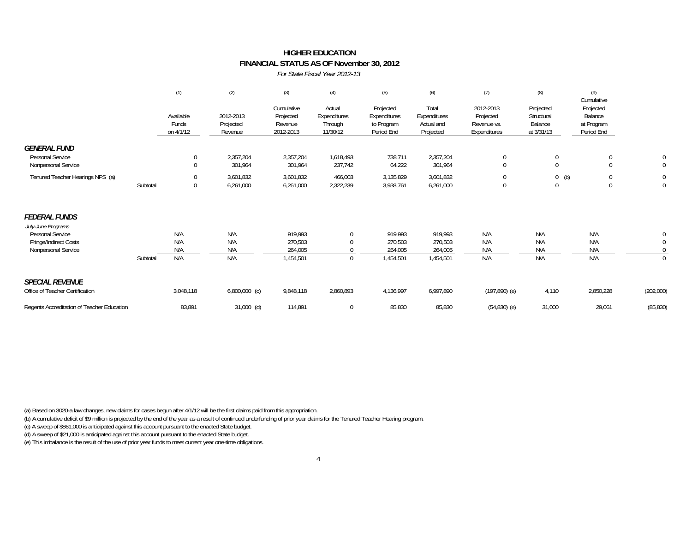### **HIGHER EDUCATIONFINANCIAL STATUS AS OF November 30, 2012**

*For State Fiscal Year 2012-13*

|                                                                                                                |          | (1)                             | (2)                               | (3)                                             | (4)                                           | (5)<br>Projected<br>Expenditures<br>to Program<br>Period End | (6)<br>Total<br>Expenditures<br>Actual and<br>Projected | (7)                                                   | (8)<br>Projected<br>Structural<br>Balance<br>at 3/31/13 | (9)<br>Cumulative<br>Projected<br>Balance<br>at Program<br>Period End |                              |
|----------------------------------------------------------------------------------------------------------------|----------|---------------------------------|-----------------------------------|-------------------------------------------------|-----------------------------------------------|--------------------------------------------------------------|---------------------------------------------------------|-------------------------------------------------------|---------------------------------------------------------|-----------------------------------------------------------------------|------------------------------|
|                                                                                                                |          | Available<br>Funds<br>on 4/1/12 | 2012-2013<br>Projected<br>Revenue | Cumulative<br>Projected<br>Revenue<br>2012-2013 | Actual<br>Expenditures<br>Through<br>11/30/12 |                                                              |                                                         | 2012-2013<br>Projected<br>Revenue vs.<br>Expenditures |                                                         |                                                                       |                              |
| <b>GENERAL FUND</b><br>Personal Service<br>Nonpersonal Service                                                 |          | $\Omega$                        | 2,357,204<br>301,964              | 2,357,204<br>301,964                            | 1,618,493<br>237,742                          | 738,711<br>64,222                                            | 2,357,204<br>301,964                                    | $\mathbf{0}$<br>$\mathbf{0}$                          |                                                         |                                                                       | 0<br>$\overline{0}$          |
| Tenured Teacher Hearings NPS (a)                                                                               | Subtotal | $\Omega$                        | 3,601,832<br>6,261,000            | 3,601,832<br>6,261,000                          | 466,003<br>2,322,239                          | 3,135,829<br>3,938,761                                       | 3,601,832<br>6,261,000                                  | $\Omega$                                              | (b)                                                     |                                                                       | $\mathbf 0$<br>$\Omega$      |
| <b>FEDERAL FUNDS</b><br>July-June Programs<br>Personal Service<br>Fringe/Indirect Costs<br>Nonpersonal Service | Subtotal | N/A<br>N/A<br>N/A<br>N/A        | N/A<br>N/A<br>N/A<br>N/A          | 919,993<br>270,503<br>264,005<br>1,454,501      | $\Omega$<br>0<br>0                            | 919,993<br>270,503<br>264,005<br>1,454,501                   | 919,993<br>270,503<br>264,005<br>1,454,501              | N/A<br>N/A<br>N/A<br>N/A                              | N/A<br>N/A<br>N/A<br>N/A                                | N/A<br>N/A<br>N/A<br>N/A                                              | 0<br>$\mathbf 0$<br>$\Omega$ |
| <b>SPECIAL REVENUE</b><br>Office of Teacher Certification                                                      |          | 3,048,118                       | $6,800,000$ (c)                   | 9,848,118                                       | 2,860,893                                     | 4,136,997                                                    | 6,997,890                                               | $(197, 890)$ (e)                                      | 4,110                                                   | 2,850,228                                                             | (202,000)                    |
| Regents Accreditation of Teacher Education                                                                     |          | 83,891                          | $31,000$ (d)                      | 114,891                                         | 0                                             | 85,830                                                       | 85,830                                                  | $(54,830)$ (e)                                        | 31,000                                                  | 29,061                                                                | (85, 830)                    |

(a) Based on 3020-a law changes, new claims for cases begun after 4/1/12 will be the first claims paid from this appropriation.

(b) A cumulative deficit of \$9 million is projected by the end of the year as a result of continued underfunding of prior year claims for the Tenured Teacher Hearing program.

(c) A sweep of \$861,000 is anticipated against this account pursuant to the enacted State budget.

(d) A sweep of \$21,000 is anticipated against this account pursuant to the enacted State budget.

(e) This imbalance is the result of the use of prior year funds to meet current year one-time obligations.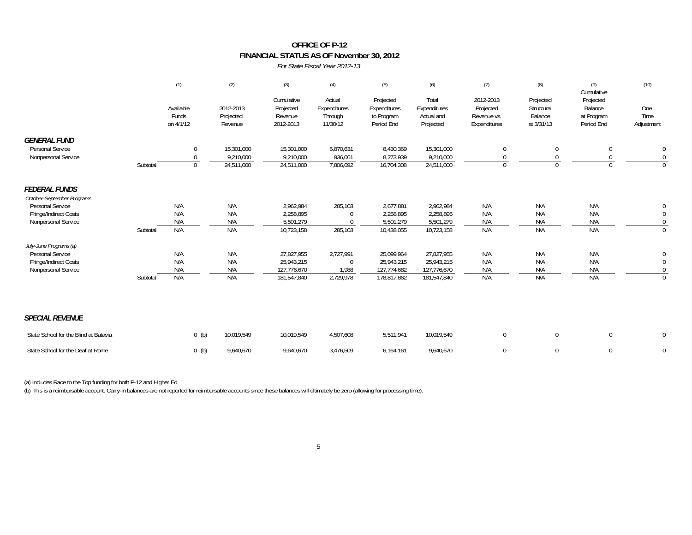### **OFFICE OF P-12 FINANCIAL STATUS AS OF November 30, 2012**

*For State Fiscal Year 2012-13*

|                                                                |          | (1)                             | (2)                                   | (3)                                             | (4)                                           | (5)                                                   | (6)                                              | (7)                                                   | (8)                                              | (9)<br>Cumulative                                | (10)                         |
|----------------------------------------------------------------|----------|---------------------------------|---------------------------------------|-------------------------------------------------|-----------------------------------------------|-------------------------------------------------------|--------------------------------------------------|-------------------------------------------------------|--------------------------------------------------|--------------------------------------------------|------------------------------|
|                                                                |          | Available<br>Funds<br>on 4/1/12 | 2012-2013<br>Projected<br>Revenue     | Cumulative<br>Projected<br>Revenue<br>2012-2013 | Actual<br>Expenditures<br>Through<br>11/30/12 | Projected<br>Expenditures<br>to Program<br>Period End | Total<br>Expenditures<br>Actual and<br>Projected | 2012-2013<br>Projected<br>Revenue vs.<br>Expenditures | Projected<br>Structural<br>Balance<br>at 3/31/13 | Projected<br>Balance<br>at Program<br>Period End | One<br>Time<br>Adjustment    |
| <b>GENERAL FUND</b><br>Personal Service<br>Nonpersonal Service | Subtotal | $\Omega$<br>$\Omega$            | 15,301,000<br>9,210,000<br>24,511,000 | 15,301,000<br>9,210,000<br>24,511,000           | 6,870,631<br>936,061<br>7,806,692             | 8,430,369<br>8,273,939<br>16,704,308                  | 15,301,000<br>9,210,000<br>24,511,000            | $\mathbf 0$<br>$\Omega$<br>$\Omega$                   | $\boldsymbol{0}$<br>$\Omega$<br>$\Omega$         | 0<br>0<br>$\Omega$                               | 0<br>$\mathbf 0$<br>$\Omega$ |
| <b>FEDERAL FUNDS</b><br>October-September Programs             |          |                                 |                                       |                                                 |                                               |                                                       |                                                  |                                                       |                                                  |                                                  |                              |
| Personal Service                                               |          | N/A                             | N/A                                   | 2,962,984                                       | 285,103                                       | 2,677,881                                             | 2,962,984                                        | N/A                                                   | N/A                                              | N/A                                              | 0                            |
| Fringe/Indirect Costs                                          |          | N/A                             | N/A                                   | 2,258,895                                       | $\Omega$                                      | 2,258,895                                             | 2,258,895                                        | N/A                                                   | N/A                                              | N/A                                              | $\mathbf 0$                  |
| Nonpersonal Service                                            |          | N/A                             | N/A                                   | 5,501,279                                       | $\Omega$                                      | 5,501,279                                             | 5,501,279                                        | N/A                                                   | N/A                                              | N/A                                              | $\mathbf 0$                  |
|                                                                | Subtotal | N/A                             | N/A                                   | 10,723,158                                      | 285,103                                       | 10,438,055                                            | 10,723,158                                       | N/A                                                   | N/A                                              | N/A                                              | $\mathbf 0$                  |
| July-June Programs (a)                                         |          |                                 |                                       |                                                 |                                               |                                                       |                                                  |                                                       |                                                  |                                                  |                              |
| Personal Service                                               |          | N/A                             | N/A                                   | 27,827,955                                      | 2,727,991                                     | 25,099,964                                            | 27,827,955                                       | N/A                                                   | N/A                                              | N/A                                              | $\overline{0}$               |
| Fringe/Indirect Costs                                          |          | N/A                             | N/A                                   | 25,943,215                                      | $\Omega$                                      | 25,943,215                                            | 25,943,215                                       | N/A                                                   | N/A                                              | N/A                                              | 0                            |
| Nonpersonal Service                                            |          | N/A                             | N/A                                   | 127,776,670                                     | 1,988                                         | 127,774,682                                           | 127,776,670                                      | N/A                                                   | N/A                                              | N/A                                              | 0                            |
|                                                                | Subtotal | N/A                             | N/A                                   | 181,547,840                                     | 2,729,978                                     | 178,817,862                                           | 181,547,840                                      | N/A                                                   | N/A                                              | N/A                                              | $\Omega$                     |
| <b>SPECIAL REVENUE</b>                                         |          |                                 |                                       |                                                 |                                               |                                                       |                                                  |                                                       |                                                  |                                                  |                              |
| State School for the Blind at Batavia                          |          | $0$ (b)                         | 10,019,549                            | 10,019,549                                      | 4,507,608                                     | 5,511,941                                             | 10,019,549                                       | $\mathbf 0$                                           | $\mathbf 0$                                      | $\bf{0}$                                         | $\mathbf 0$                  |
| State School for the Deaf at Rome                              |          | $0$ (b)                         | 9,640,670                             | 9,640,670                                       | 3,476,509                                     | 6,164,161                                             | 9,640,670                                        | $\mathbf 0$                                           | $\mathbf 0$                                      | $\Omega$                                         | $\overline{0}$               |

(a) Includes Race to the Top funding for both P-12 and Higher Ed.

(b) This is a reimbursable account. Carry-in balances are not reported for reimbursable accounts since these balances will ultimately be zero (allowing for processing time).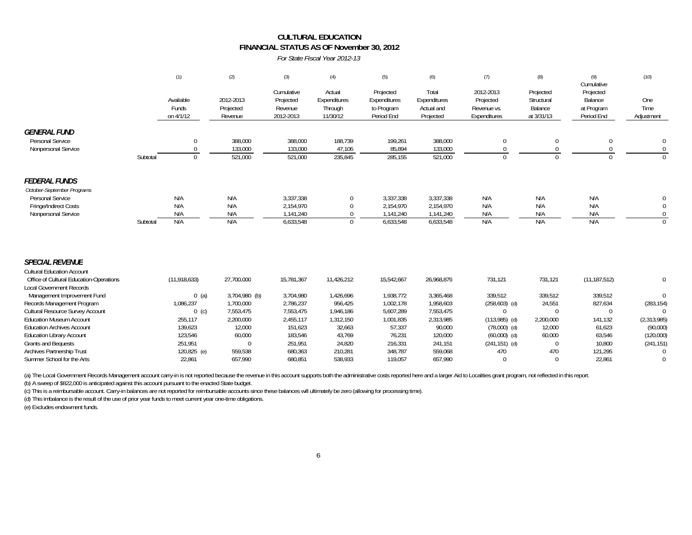# **FINANCIAL STATUS AS OF November 30, 2012 CULTURAL EDUCATION**

*For State Fiscal Year 2012-13*

|                                                                                                                                                                                                                                                                                                                                                                                                                                                  |          | (1)                                                                                                                    | (2)                                                                                                                         | (3)                                                                                                                   | (4)                                                                                                              | (5)                                                                                                                 | (6)                                                                                                                  | (7)                                                                                                                                              | (8)                                                                                                      | (9)<br>Cumulative                                                                                              | (10)                                                                                                                         |
|--------------------------------------------------------------------------------------------------------------------------------------------------------------------------------------------------------------------------------------------------------------------------------------------------------------------------------------------------------------------------------------------------------------------------------------------------|----------|------------------------------------------------------------------------------------------------------------------------|-----------------------------------------------------------------------------------------------------------------------------|-----------------------------------------------------------------------------------------------------------------------|------------------------------------------------------------------------------------------------------------------|---------------------------------------------------------------------------------------------------------------------|----------------------------------------------------------------------------------------------------------------------|--------------------------------------------------------------------------------------------------------------------------------------------------|----------------------------------------------------------------------------------------------------------|----------------------------------------------------------------------------------------------------------------|------------------------------------------------------------------------------------------------------------------------------|
|                                                                                                                                                                                                                                                                                                                                                                                                                                                  |          | Available<br>Funds<br>on 4/1/12                                                                                        | 2012-2013<br>Projected<br>Revenue                                                                                           | Cumulative<br>Projected<br>Revenue<br>2012-2013                                                                       | Actual<br>Expenditures<br>Through<br>11/30/12                                                                    | Projected<br>Expenditures<br>to Program<br>Period End                                                               | Total<br>Expenditures<br>Actual and<br>Projected                                                                     | 2012-2013<br>Projected<br>Revenue vs.<br>Expenditures                                                                                            | Projected<br>Structural<br>Balance<br>at 3/31/13                                                         | Projected<br>Balance<br>at Program<br>Period End                                                               | One<br>Time<br>Adjustment                                                                                                    |
| <b>GENERAL FUND</b><br>Personal Service<br>Nonpersonal Service                                                                                                                                                                                                                                                                                                                                                                                   | Subtotal | $\Omega$<br>$\Omega$                                                                                                   | 388,000<br>133,000<br>521,000                                                                                               | 388,000<br>133,000<br>521,000                                                                                         | 188,739<br>47,106<br>235,845                                                                                     | 199,261<br>85,894<br>285,155                                                                                        | 388,000<br>133,000<br>521,000                                                                                        | $\mathbf 0$<br>$\Omega$                                                                                                                          | $\mathbf{0}$                                                                                             | $\Omega$<br>$\Omega$<br>$\cap$                                                                                 | $\Omega$<br>$\mathbf{0}$<br>$\Omega$                                                                                         |
| <b>FEDERAL FUNDS</b><br>October-September Programs<br>Personal Service<br>Fringe/Indirect Costs<br>Nonpersonal Service                                                                                                                                                                                                                                                                                                                           | Subtotal | N/A<br>N/A<br>N/A<br>N/A                                                                                               | N/A<br>N/A<br>N/A<br>N/A                                                                                                    | 3,337,338<br>2,154,970<br>1,141,240<br>6,633,548                                                                      | $\boldsymbol{0}$<br>$\Omega$<br>$\Omega$                                                                         | 3,337,338<br>2,154,970<br>1,141,240<br>6,633,548                                                                    | 3,337,338<br>2,154,970<br>1,141,240<br>6,633,548                                                                     | N/A<br>N/A<br>N/A<br>N/A                                                                                                                         | N/A<br>N/A<br>N/A<br>N/A                                                                                 | N/A<br>N/A<br>N/A<br>N/A                                                                                       | 0<br>$\mathbf{0}$<br>$\Omega$<br>$\Omega$                                                                                    |
| <b>SPECIAL REVENUE</b><br><b>Cultural Education Account</b><br>Office of Cultural Education-Operations<br><b>Local Government Records</b><br>Management Improvement Fund<br>Records Management Program<br>Cultural Resource Survey Account<br><b>Education Museum Account</b><br><b>Education Archives Account</b><br><b>Education Library Account</b><br><b>Grants and Bequests</b><br>Archives Partnership Trust<br>Summer School for the Arts |          | (11, 918, 633)<br>$0$ (a)<br>1,086,237<br>$0$ (c)<br>255,117<br>139,623<br>123,546<br>251,951<br>120,825 (e)<br>22,861 | 27,700,000<br>3,704,980 (b)<br>1,700,000<br>7,553,475<br>2,200,000<br>12,000<br>60,000<br>$\mathbf 0$<br>559,538<br>657,990 | 15,781,367<br>3,704,980<br>2,786,237<br>7,553,475<br>2,455,117<br>151,623<br>183,546<br>251,951<br>680,363<br>680,851 | 11,426,212<br>1,426,696<br>956,425<br>1,946,186<br>1,312,150<br>32,663<br>43,769<br>24,820<br>210,281<br>538,933 | 15,542,667<br>1,938,772<br>1,002,178<br>5,607,289<br>1,001,835<br>57,337<br>76,231<br>216,331<br>348,787<br>119,057 | 26,968,879<br>3,365,468<br>1,958,603<br>7,553,475<br>2,313,985<br>90,000<br>120,000<br>241,151<br>559,068<br>657,990 | 731,121<br>339,512<br>$(258, 603)$ (d)<br>$\Omega$<br>$(113,985)$ (d)<br>$(78,000)$ (d)<br>$(60,000)$ (d)<br>$(241, 151)$ (d)<br>470<br>$\Omega$ | 731,121<br>339,512<br>24,551<br>$\Omega$<br>2,200,000<br>12,000<br>60,000<br>$\Omega$<br>470<br>$\Omega$ | (11, 187, 512)<br>339,512<br>827,634<br>$\Omega$<br>141,132<br>61,623<br>63,546<br>10,800<br>121,295<br>22,861 | $\Omega$<br>$\Omega$<br>(283, 154)<br>$\Omega$<br>(2,313,985)<br>(90,000)<br>(120,000)<br>(241, 151)<br>$\Omega$<br>$\Omega$ |

(a) The Local Government Records Management account carry-in is not reported because the revenue in this account supports both the administrative costs reported here and a larger Aid to Localities grant program, not reflec

(b) A sweep of \$822,000 is anticipated against this account pursuant to the enacted State budget.

(c) This is a reimbursable account. Carry-in balances are not reported for reimbursable accounts since these balances will ultimately be zero (allowing for processing time).

(d) This imbalance is the result of the use of prior year funds to meet current year one-time obligations.

(e) Excludes endowment funds.